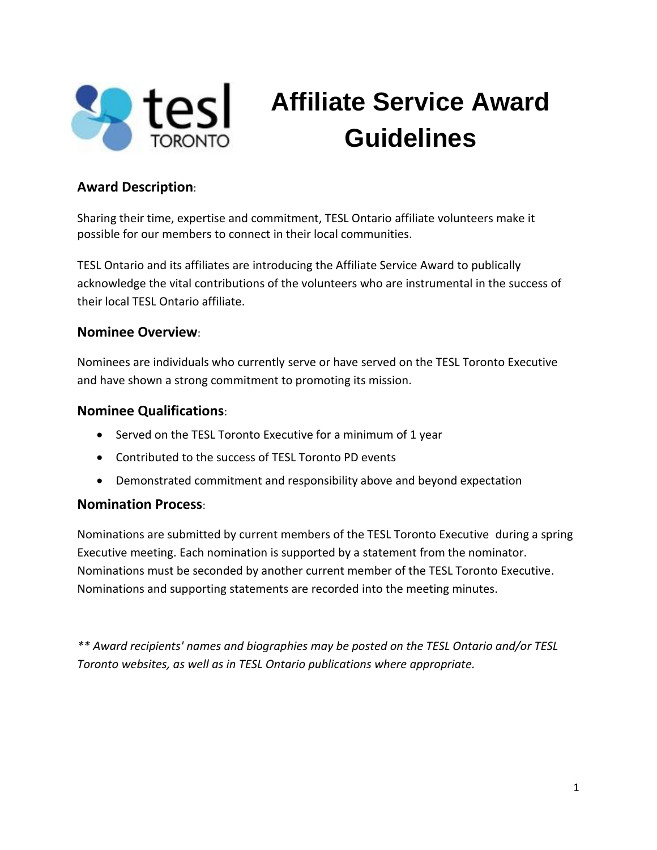

# **Affiliate Service Award Guidelines**

## **Award Description**:

Sharing their time, expertise and commitment, TESL Ontario affiliate volunteers make it possible for our members to connect in their local communities.

TESL Ontario and its affiliates are introducing the Affiliate Service Award to publically acknowledge the vital contributions of the volunteers who are instrumental in the success of their local TESL Ontario affiliate.

#### **Nominee Overview**:

Nominees are individuals who currently serve or have served on the TESL Toronto Executive and have shown a strong commitment to promoting its mission.

### **Nominee Qualifications**:

- Served on the TESL Toronto Executive for a minimum of 1 year
- Contributed to the success of TESL Toronto PD events
- Demonstrated commitment and responsibility above and beyond expectation

## **Nomination Process**:

Nominations are submitted by current members of the TESL Toronto Executive during a spring Executive meeting. Each nomination is supported by a statement from the nominator. Nominations must be seconded by another current member of the TESL Toronto Executive. Nominations and supporting statements are recorded into the meeting minutes.

*\*\* Award recipients' names and biographies may be posted on the TESL Ontario and/or TESL Toronto websites, as well as in TESL Ontario publications where appropriate.*